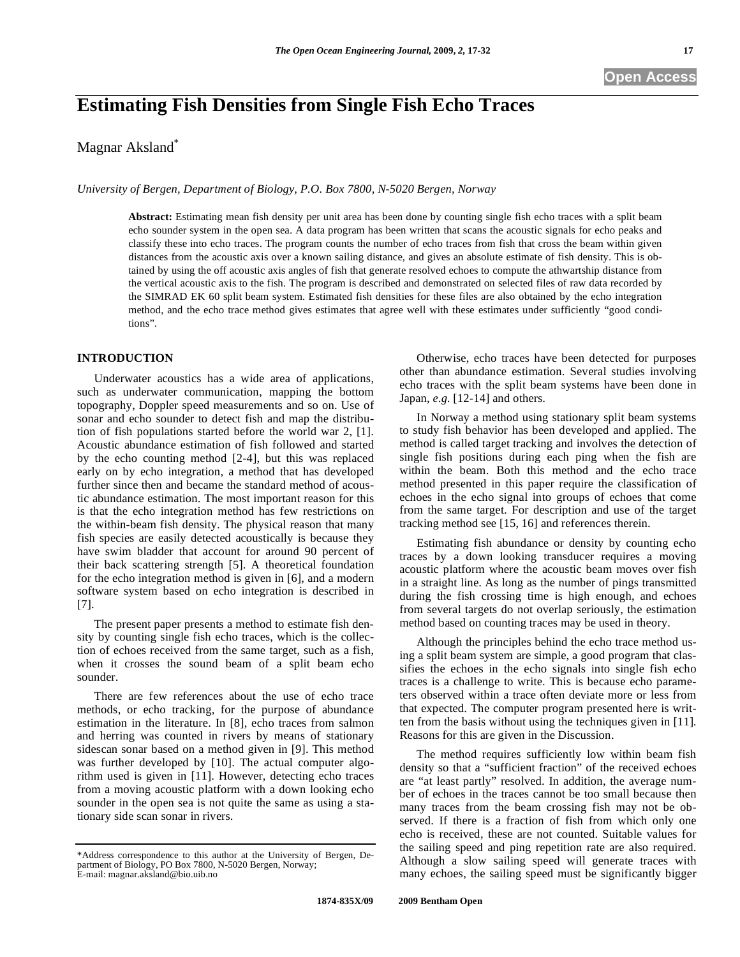# **Estimating Fish Densities from Single Fish Echo Traces**

Magnar Aksland<sup>\*</sup>

*University of Bergen, Department of Biology, P.O. Box 7800, N-5020 Bergen, Norway* 

**Abstract:** Estimating mean fish density per unit area has been done by counting single fish echo traces with a split beam echo sounder system in the open sea. A data program has been written that scans the acoustic signals for echo peaks and classify these into echo traces. The program counts the number of echo traces from fish that cross the beam within given distances from the acoustic axis over a known sailing distance, and gives an absolute estimate of fish density. This is obtained by using the off acoustic axis angles of fish that generate resolved echoes to compute the athwartship distance from the vertical acoustic axis to the fish. The program is described and demonstrated on selected files of raw data recorded by the SIMRAD EK 60 split beam system. Estimated fish densities for these files are also obtained by the echo integration method, and the echo trace method gives estimates that agree well with these estimates under sufficiently "good conditions".

## **INTRODUCTION**

Underwater acoustics has a wide area of applications, such as underwater communication, mapping the bottom topography, Doppler speed measurements and so on. Use of sonar and echo sounder to detect fish and map the distribution of fish populations started before the world war 2, [1]. Acoustic abundance estimation of fish followed and started by the echo counting method [2-4], but this was replaced early on by echo integration, a method that has developed further since then and became the standard method of acoustic abundance estimation. The most important reason for this is that the echo integration method has few restrictions on the within-beam fish density. The physical reason that many fish species are easily detected acoustically is because they have swim bladder that account for around 90 percent of their back scattering strength [5]. A theoretical foundation for the echo integration method is given in [6], and a modern software system based on echo integration is described in [7].

The present paper presents a method to estimate fish density by counting single fish echo traces, which is the collection of echoes received from the same target, such as a fish, when it crosses the sound beam of a split beam echo sounder.

There are few references about the use of echo trace methods, or echo tracking, for the purpose of abundance estimation in the literature. In [8], echo traces from salmon and herring was counted in rivers by means of stationary sidescan sonar based on a method given in [9]. This method was further developed by [10]. The actual computer algorithm used is given in [11]. However, detecting echo traces from a moving acoustic platform with a down looking echo sounder in the open sea is not quite the same as using a stationary side scan sonar in rivers.

Otherwise, echo traces have been detected for purposes other than abundance estimation. Several studies involving echo traces with the split beam systems have been done in Japan, *e.g.* [12-14] and others.

In Norway a method using stationary split beam systems to study fish behavior has been developed and applied. The method is called target tracking and involves the detection of single fish positions during each ping when the fish are within the beam. Both this method and the echo trace method presented in this paper require the classification of echoes in the echo signal into groups of echoes that come from the same target. For description and use of the target tracking method see [15, 16] and references therein.

Estimating fish abundance or density by counting echo traces by a down looking transducer requires a moving acoustic platform where the acoustic beam moves over fish in a straight line. As long as the number of pings transmitted during the fish crossing time is high enough, and echoes from several targets do not overlap seriously, the estimation method based on counting traces may be used in theory.

Although the principles behind the echo trace method using a split beam system are simple, a good program that classifies the echoes in the echo signals into single fish echo traces is a challenge to write. This is because echo parameters observed within a trace often deviate more or less from that expected. The computer program presented here is written from the basis without using the techniques given in [11]. Reasons for this are given in the Discussion.

The method requires sufficiently low within beam fish density so that a "sufficient fraction" of the received echoes are "at least partly" resolved. In addition, the average number of echoes in the traces cannot be too small because then many traces from the beam crossing fish may not be observed. If there is a fraction of fish from which only one echo is received, these are not counted. Suitable values for the sailing speed and ping repetition rate are also required. Although a slow sailing speed will generate traces with many echoes, the sailing speed must be significantly bigger

<sup>\*</sup>Address correspondence to this author at the University of Bergen, Department of Biology, PO Box 7800, N-5020 Bergen, Norway; E-mail: magnar.aksland@bio.uib.no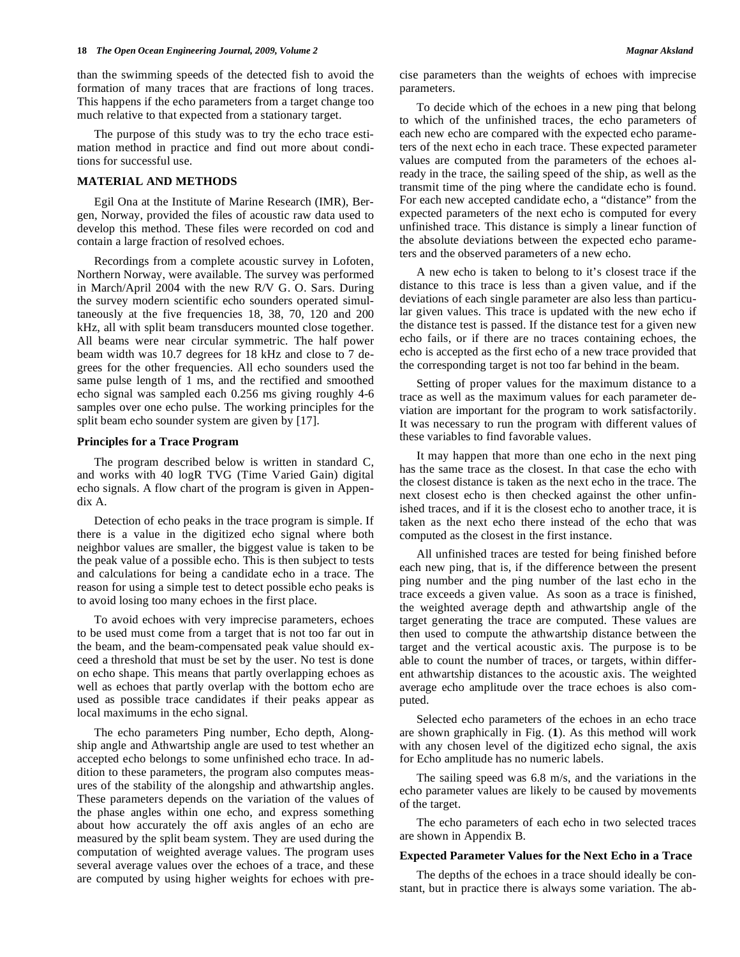than the swimming speeds of the detected fish to avoid the formation of many traces that are fractions of long traces. This happens if the echo parameters from a target change too much relative to that expected from a stationary target.

The purpose of this study was to try the echo trace estimation method in practice and find out more about conditions for successful use.

#### **MATERIAL AND METHODS**

Egil Ona at the Institute of Marine Research (IMR), Bergen, Norway, provided the files of acoustic raw data used to develop this method. These files were recorded on cod and contain a large fraction of resolved echoes.

Recordings from a complete acoustic survey in Lofoten, Northern Norway, were available. The survey was performed in March/April 2004 with the new R/V G. O. Sars. During the survey modern scientific echo sounders operated simultaneously at the five frequencies 18, 38, 70, 120 and 200 kHz, all with split beam transducers mounted close together. All beams were near circular symmetric. The half power beam width was 10.7 degrees for 18 kHz and close to 7 degrees for the other frequencies. All echo sounders used the same pulse length of 1 ms, and the rectified and smoothed echo signal was sampled each 0.256 ms giving roughly 4-6 samples over one echo pulse. The working principles for the split beam echo sounder system are given by [17].

#### **Principles for a Trace Program**

The program described below is written in standard C, and works with 40 logR TVG (Time Varied Gain) digital echo signals. A flow chart of the program is given in Appendix A.

Detection of echo peaks in the trace program is simple. If there is a value in the digitized echo signal where both neighbor values are smaller, the biggest value is taken to be the peak value of a possible echo. This is then subject to tests and calculations for being a candidate echo in a trace. The reason for using a simple test to detect possible echo peaks is to avoid losing too many echoes in the first place.

To avoid echoes with very imprecise parameters, echoes to be used must come from a target that is not too far out in the beam, and the beam-compensated peak value should exceed a threshold that must be set by the user. No test is done on echo shape. This means that partly overlapping echoes as well as echoes that partly overlap with the bottom echo are used as possible trace candidates if their peaks appear as local maximums in the echo signal.

The echo parameters Ping number, Echo depth, Alongship angle and Athwartship angle are used to test whether an accepted echo belongs to some unfinished echo trace. In addition to these parameters, the program also computes measures of the stability of the alongship and athwartship angles. These parameters depends on the variation of the values of the phase angles within one echo, and express something about how accurately the off axis angles of an echo are measured by the split beam system. They are used during the computation of weighted average values. The program uses several average values over the echoes of a trace, and these are computed by using higher weights for echoes with precise parameters than the weights of echoes with imprecise parameters.

To decide which of the echoes in a new ping that belong to which of the unfinished traces, the echo parameters of each new echo are compared with the expected echo parameters of the next echo in each trace. These expected parameter values are computed from the parameters of the echoes already in the trace, the sailing speed of the ship, as well as the transmit time of the ping where the candidate echo is found. For each new accepted candidate echo, a "distance" from the expected parameters of the next echo is computed for every unfinished trace. This distance is simply a linear function of the absolute deviations between the expected echo parameters and the observed parameters of a new echo.

A new echo is taken to belong to it's closest trace if the distance to this trace is less than a given value, and if the deviations of each single parameter are also less than particular given values. This trace is updated with the new echo if the distance test is passed. If the distance test for a given new echo fails, or if there are no traces containing echoes, the echo is accepted as the first echo of a new trace provided that the corresponding target is not too far behind in the beam.

Setting of proper values for the maximum distance to a trace as well as the maximum values for each parameter deviation are important for the program to work satisfactorily. It was necessary to run the program with different values of these variables to find favorable values.

It may happen that more than one echo in the next ping has the same trace as the closest. In that case the echo with the closest distance is taken as the next echo in the trace. The next closest echo is then checked against the other unfinished traces, and if it is the closest echo to another trace, it is taken as the next echo there instead of the echo that was computed as the closest in the first instance.

All unfinished traces are tested for being finished before each new ping, that is, if the difference between the present ping number and the ping number of the last echo in the trace exceeds a given value. As soon as a trace is finished, the weighted average depth and athwartship angle of the target generating the trace are computed. These values are then used to compute the athwartship distance between the target and the vertical acoustic axis. The purpose is to be able to count the number of traces, or targets, within different athwartship distances to the acoustic axis. The weighted average echo amplitude over the trace echoes is also computed.

Selected echo parameters of the echoes in an echo trace are shown graphically in Fig. (**1**). As this method will work with any chosen level of the digitized echo signal, the axis for Echo amplitude has no numeric labels.

The sailing speed was 6.8 m/s, and the variations in the echo parameter values are likely to be caused by movements of the target.

The echo parameters of each echo in two selected traces are shown in Appendix B.

#### **Expected Parameter Values for the Next Echo in a Trace**

The depths of the echoes in a trace should ideally be constant, but in practice there is always some variation. The ab-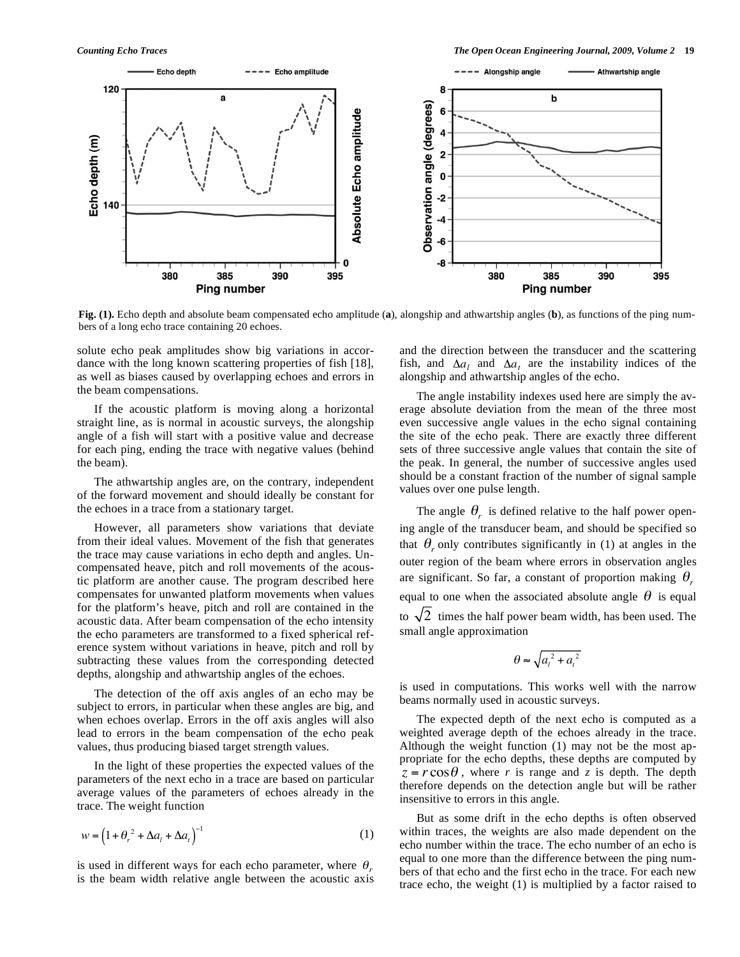

**Fig. (1).** Echo depth and absolute beam compensated echo amplitude (**a**), alongship and athwartship angles (**b**), as functions of the ping numbers of a long echo trace containing 20 echoes.

solute echo peak amplitudes show big variations in accordance with the long known scattering properties of fish [18], as well as biases caused by overlapping echoes and errors in the beam compensations.

If the acoustic platform is moving along a horizontal straight line, as is normal in acoustic surveys, the alongship angle of a fish will start with a positive value and decrease for each ping, ending the trace with negative values (behind the beam).

The athwartship angles are, on the contrary, independent of the forward movement and should ideally be constant for the echoes in a trace from a stationary target.

However, all parameters show variations that deviate from their ideal values. Movement of the fish that generates the trace may cause variations in echo depth and angles. Uncompensated heave, pitch and roll movements of the acoustic platform are another cause. The program described here compensates for unwanted platform movements when values for the platform's heave, pitch and roll are contained in the acoustic data. After beam compensation of the echo intensity the echo parameters are transformed to a fixed spherical reference system without variations in heave, pitch and roll by subtracting these values from the corresponding detected depths, alongship and athwartship angles of the echoes.

The detection of the off axis angles of an echo may be subject to errors, in particular when these angles are big, and when echoes overlap. Errors in the off axis angles will also lead to errors in the beam compensation of the echo peak values, thus producing biased target strength values.

In the light of these properties the expected values of the parameters of the next echo in a trace are based on particular average values of the parameters of echoes already in the trace. The weight function

$$
w = \left(1 + \theta_r^2 + \Delta a_l + \Delta a_l\right)^{-1} \tag{1}
$$

is used in different ways for each echo parameter, where  $\theta_r$ is the beam width relative angle between the acoustic axis and the direction between the transducer and the scattering fish, and  $\Delta a_l$  and  $\Delta a_t$  are the instability indices of the alongship and athwartship angles of the echo.

The angle instability indexes used here are simply the average absolute deviation from the mean of the three most even successive angle values in the echo signal containing the site of the echo peak. There are exactly three different sets of three successive angle values that contain the site of the peak. In general, the number of successive angles used should be a constant fraction of the number of signal sample values over one pulse length.

The angle  $\theta_r$  is defined relative to the half power opening angle of the transducer beam, and should be specified so that  $\theta$ <sub>r</sub> only contributes significantly in (1) at angles in the outer region of the beam where errors in observation angles are significant. So far, a constant of proportion making  $\theta_r$ equal to one when the associated absolute angle  $\theta$  is equal to  $\sqrt{2}$  times the half power beam width, has been used. The small angle approximation

$$
\theta \approx \sqrt{a_l^2 + a_l^2}
$$

is used in computations. This works well with the narrow beams normally used in acoustic surveys.

The expected depth of the next echo is computed as a weighted average depth of the echoes already in the trace. Although the weight function (1) may not be the most appropriate for the echo depths, these depths are computed by  $z = r \cos \theta$ , where *r* is range and *z* is depth. The depth therefore depends on the detection angle but will be rather insensitive to errors in this angle.

But as some drift in the echo depths is often observed within traces, the weights are also made dependent on the echo number within the trace. The echo number of an echo is equal to one more than the difference between the ping numbers of that echo and the first echo in the trace. For each new trace echo, the weight (1) is multiplied by a factor raised to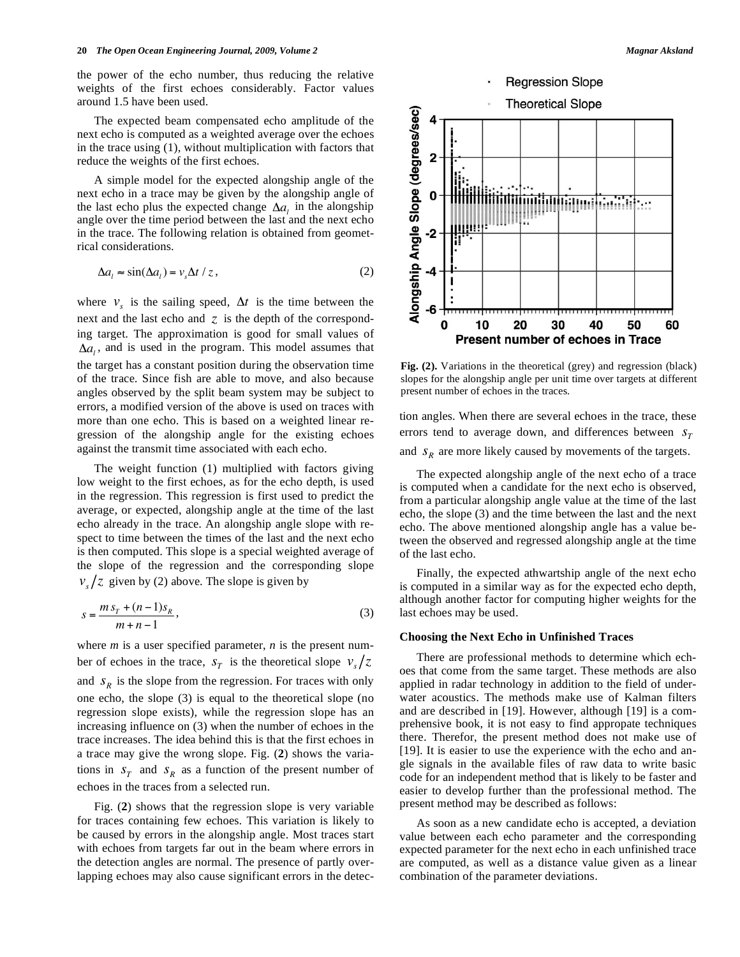the power of the echo number, thus reducing the relative weights of the first echoes considerably. Factor values around 1.5 have been used.

The expected beam compensated echo amplitude of the next echo is computed as a weighted average over the echoes in the trace using (1), without multiplication with factors that reduce the weights of the first echoes.

A simple model for the expected alongship angle of the next echo in a trace may be given by the alongship angle of the last echo plus the expected change  $\Delta a_i$  in the alongship angle over the time period between the last and the next echo in the trace. The following relation is obtained from geometrical considerations.

$$
\Delta a_l \approx \sin(\Delta a_l) = v_s \Delta t / z, \qquad (2)
$$

where  $v<sub>s</sub>$  is the sailing speed,  $\Delta t$  is the time between the next and the last echo and *z* is the depth of the corresponding target. The approximation is good for small values of  $\Delta a_l$ , and is used in the program. This model assumes that the target has a constant position during the observation time of the trace. Since fish are able to move, and also because angles observed by the split beam system may be subject to errors, a modified version of the above is used on traces with more than one echo. This is based on a weighted linear regression of the alongship angle for the existing echoes against the transmit time associated with each echo.

The weight function (1) multiplied with factors giving low weight to the first echoes, as for the echo depth, is used in the regression. This regression is first used to predict the average, or expected, alongship angle at the time of the last echo already in the trace. An alongship angle slope with respect to time between the times of the last and the next echo is then computed. This slope is a special weighted average of the slope of the regression and the corresponding slope  $v<sub>s</sub>/z$  given by (2) above. The slope is given by

$$
s = \frac{m s_T + (n-1) s_R}{m+n-1},
$$
\n(3)

where *m* is a user specified parameter, *n* is the present number of echoes in the trace,  $s_T$  is the theoretical slope  $v_s/z$ and  $S_R$  is the slope from the regression. For traces with only one echo, the slope (3) is equal to the theoretical slope (no regression slope exists), while the regression slope has an increasing influence on (3) when the number of echoes in the trace increases. The idea behind this is that the first echoes in a trace may give the wrong slope. Fig. (**2**) shows the variations in  $S_T$  and  $S_R$  as a function of the present number of echoes in the traces from a selected run.

Fig. (**2**) shows that the regression slope is very variable for traces containing few echoes. This variation is likely to be caused by errors in the alongship angle. Most traces start with echoes from targets far out in the beam where errors in the detection angles are normal. The presence of partly overlapping echoes may also cause significant errors in the detec-



**Fig. (2).** Variations in the theoretical (grey) and regression (black) slopes for the alongship angle per unit time over targets at different present number of echoes in the traces.

tion angles. When there are several echoes in the trace, these errors tend to average down, and differences between  $S_T$ and  $S_R$  are more likely caused by movements of the targets.

The expected alongship angle of the next echo of a trace is computed when a candidate for the next echo is observed, from a particular alongship angle value at the time of the last echo, the slope (3) and the time between the last and the next echo. The above mentioned alongship angle has a value between the observed and regressed alongship angle at the time of the last echo.

Finally, the expected athwartship angle of the next echo is computed in a similar way as for the expected echo depth, although another factor for computing higher weights for the last echoes may be used.

#### **Choosing the Next Echo in Unfinished Traces**

There are professional methods to determine which echoes that come from the same target. These methods are also applied in radar technology in addition to the field of underwater acoustics. The methods make use of Kalman filters and are described in [19]. However, although [19] is a comprehensive book, it is not easy to find appropate techniques there. Therefor, the present method does not make use of [19]. It is easier to use the experience with the echo and angle signals in the available files of raw data to write basic code for an independent method that is likely to be faster and easier to develop further than the professional method. The present method may be described as follows:

As soon as a new candidate echo is accepted, a deviation value between each echo parameter and the corresponding expected parameter for the next echo in each unfinished trace are computed, as well as a distance value given as a linear combination of the parameter deviations.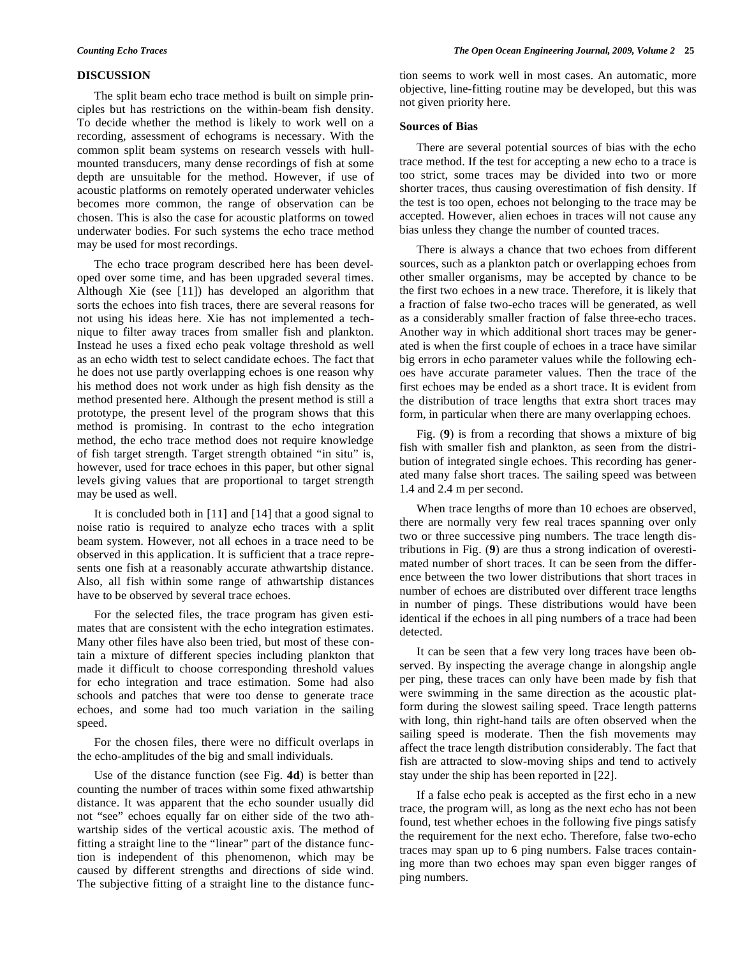### **DISCUSSION**

The split beam echo trace method is built on simple principles but has restrictions on the within-beam fish density. To decide whether the method is likely to work well on a recording, assessment of echograms is necessary. With the common split beam systems on research vessels with hullmounted transducers, many dense recordings of fish at some depth are unsuitable for the method. However, if use of acoustic platforms on remotely operated underwater vehicles becomes more common, the range of observation can be chosen. This is also the case for acoustic platforms on towed underwater bodies. For such systems the echo trace method may be used for most recordings.

The echo trace program described here has been developed over some time, and has been upgraded several times. Although Xie (see [11]) has developed an algorithm that sorts the echoes into fish traces, there are several reasons for not using his ideas here. Xie has not implemented a technique to filter away traces from smaller fish and plankton. Instead he uses a fixed echo peak voltage threshold as well as an echo width test to select candidate echoes. The fact that he does not use partly overlapping echoes is one reason why his method does not work under as high fish density as the method presented here. Although the present method is still a prototype, the present level of the program shows that this method is promising. In contrast to the echo integration method, the echo trace method does not require knowledge of fish target strength. Target strength obtained "in situ" is, however, used for trace echoes in this paper, but other signal levels giving values that are proportional to target strength may be used as well.

It is concluded both in [11] and [14] that a good signal to noise ratio is required to analyze echo traces with a split beam system. However, not all echoes in a trace need to be observed in this application. It is sufficient that a trace represents one fish at a reasonably accurate athwartship distance. Also, all fish within some range of athwartship distances have to be observed by several trace echoes.

For the selected files, the trace program has given estimates that are consistent with the echo integration estimates. Many other files have also been tried, but most of these contain a mixture of different species including plankton that made it difficult to choose corresponding threshold values for echo integration and trace estimation. Some had also schools and patches that were too dense to generate trace echoes, and some had too much variation in the sailing speed.

For the chosen files, there were no difficult overlaps in the echo-amplitudes of the big and small individuals.

Use of the distance function (see Fig. **4d**) is better than counting the number of traces within some fixed athwartship distance. It was apparent that the echo sounder usually did not "see" echoes equally far on either side of the two athwartship sides of the vertical acoustic axis. The method of fitting a straight line to the "linear" part of the distance function is independent of this phenomenon, which may be caused by different strengths and directions of side wind. The subjective fitting of a straight line to the distance function seems to work well in most cases. An automatic, more objective, line-fitting routine may be developed, but this was not given priority here.

#### **Sources of Bias**

There are several potential sources of bias with the echo trace method. If the test for accepting a new echo to a trace is too strict, some traces may be divided into two or more shorter traces, thus causing overestimation of fish density. If the test is too open, echoes not belonging to the trace may be accepted. However, alien echoes in traces will not cause any bias unless they change the number of counted traces.

There is always a chance that two echoes from different sources, such as a plankton patch or overlapping echoes from other smaller organisms, may be accepted by chance to be the first two echoes in a new trace. Therefore, it is likely that a fraction of false two-echo traces will be generated, as well as a considerably smaller fraction of false three-echo traces. Another way in which additional short traces may be generated is when the first couple of echoes in a trace have similar big errors in echo parameter values while the following echoes have accurate parameter values. Then the trace of the first echoes may be ended as a short trace. It is evident from the distribution of trace lengths that extra short traces may form, in particular when there are many overlapping echoes.

Fig. (**9**) is from a recording that shows a mixture of big fish with smaller fish and plankton, as seen from the distribution of integrated single echoes. This recording has generated many false short traces. The sailing speed was between 1.4 and 2.4 m per second.

When trace lengths of more than 10 echoes are observed, there are normally very few real traces spanning over only two or three successive ping numbers. The trace length distributions in Fig. (**9**) are thus a strong indication of overestimated number of short traces. It can be seen from the difference between the two lower distributions that short traces in number of echoes are distributed over different trace lengths in number of pings. These distributions would have been identical if the echoes in all ping numbers of a trace had been detected.

It can be seen that a few very long traces have been observed. By inspecting the average change in alongship angle per ping, these traces can only have been made by fish that were swimming in the same direction as the acoustic platform during the slowest sailing speed. Trace length patterns with long, thin right-hand tails are often observed when the sailing speed is moderate. Then the fish movements may affect the trace length distribution considerably. The fact that fish are attracted to slow-moving ships and tend to actively stay under the ship has been reported in [22].

If a false echo peak is accepted as the first echo in a new trace, the program will, as long as the next echo has not been found, test whether echoes in the following five pings satisfy the requirement for the next echo. Therefore, false two-echo traces may span up to 6 ping numbers. False traces containing more than two echoes may span even bigger ranges of ping numbers.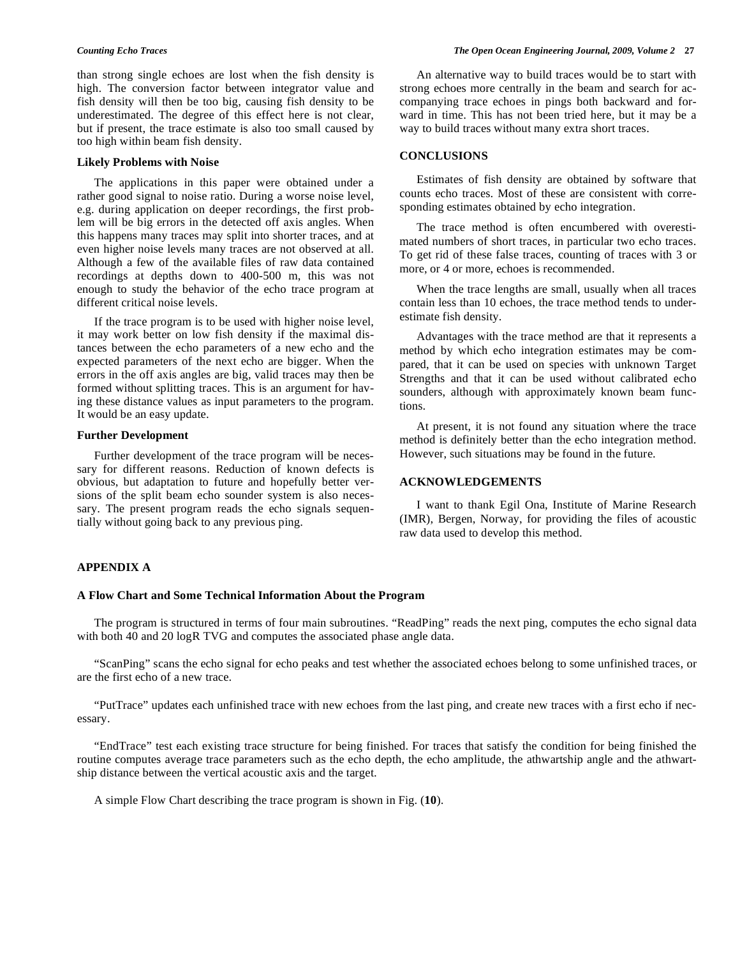than strong single echoes are lost when the fish density is high. The conversion factor between integrator value and fish density will then be too big, causing fish density to be underestimated. The degree of this effect here is not clear, but if present, the trace estimate is also too small caused by too high within beam fish density.

#### **Likely Problems with Noise**

The applications in this paper were obtained under a rather good signal to noise ratio. During a worse noise level, e.g. during application on deeper recordings, the first problem will be big errors in the detected off axis angles. When this happens many traces may split into shorter traces, and at even higher noise levels many traces are not observed at all. Although a few of the available files of raw data contained recordings at depths down to 400-500 m, this was not enough to study the behavior of the echo trace program at different critical noise levels.

If the trace program is to be used with higher noise level, it may work better on low fish density if the maximal distances between the echo parameters of a new echo and the expected parameters of the next echo are bigger. When the errors in the off axis angles are big, valid traces may then be formed without splitting traces. This is an argument for having these distance values as input parameters to the program. It would be an easy update.

#### **Further Development**

Further development of the trace program will be necessary for different reasons. Reduction of known defects is obvious, but adaptation to future and hopefully better versions of the split beam echo sounder system is also necessary. The present program reads the echo signals sequentially without going back to any previous ping.

An alternative way to build traces would be to start with strong echoes more centrally in the beam and search for accompanying trace echoes in pings both backward and forward in time. This has not been tried here, but it may be a way to build traces without many extra short traces.

#### **CONCLUSIONS**

Estimates of fish density are obtained by software that counts echo traces. Most of these are consistent with corresponding estimates obtained by echo integration.

The trace method is often encumbered with overestimated numbers of short traces, in particular two echo traces. To get rid of these false traces, counting of traces with 3 or more, or 4 or more, echoes is recommended.

When the trace lengths are small, usually when all traces contain less than 10 echoes, the trace method tends to underestimate fish density.

Advantages with the trace method are that it represents a method by which echo integration estimates may be compared, that it can be used on species with unknown Target Strengths and that it can be used without calibrated echo sounders, although with approximately known beam functions.

At present, it is not found any situation where the trace method is definitely better than the echo integration method. However, such situations may be found in the future.

# **ACKNOWLEDGEMENTS**

I want to thank Egil Ona, Institute of Marine Research (IMR), Bergen, Norway, for providing the files of acoustic raw data used to develop this method.

### **APPENDIX A**

#### **A Flow Chart and Some Technical Information About the Program**

The program is structured in terms of four main subroutines. "ReadPing" reads the next ping, computes the echo signal data with both 40 and 20 logR TVG and computes the associated phase angle data.

"ScanPing" scans the echo signal for echo peaks and test whether the associated echoes belong to some unfinished traces, or are the first echo of a new trace.

"PutTrace" updates each unfinished trace with new echoes from the last ping, and create new traces with a first echo if necessary.

"EndTrace" test each existing trace structure for being finished. For traces that satisfy the condition for being finished the routine computes average trace parameters such as the echo depth, the echo amplitude, the athwartship angle and the athwartship distance between the vertical acoustic axis and the target.

A simple Flow Chart describing the trace program is shown in Fig. (**10**).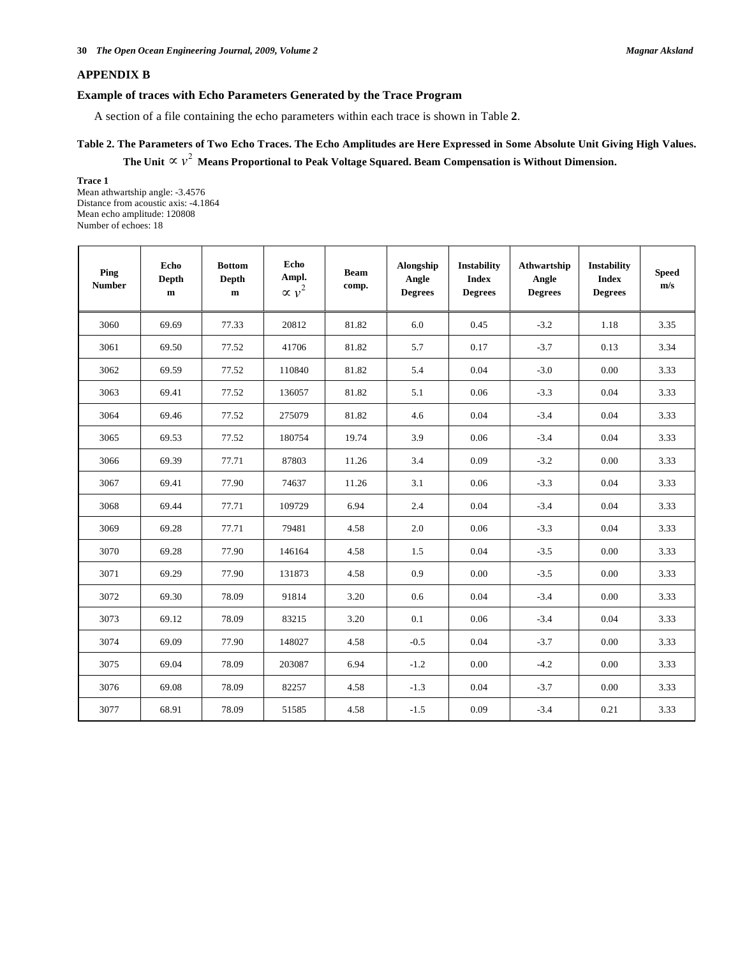# **APPENDIX B**

# **Example of traces with Echo Parameters Generated by the Trace Program**

A section of a file containing the echo parameters within each trace is shown in Table **2**.

# **Table 2. The Parameters of Two Echo Traces. The Echo Amplitudes are Here Expressed in Some Absolute Unit Giving High Values.**

The Unit  $\propto v^2$  Means Proportional to Peak Voltage Squared. Beam Compensation is Without Dimension.

**Trace 1** Mean athwartship angle: -3.4576 Distance from acoustic axis: -4.1864 Mean echo amplitude: 120808 Number of echoes: 18

| Ping<br><b>Number</b> | Echo<br>Depth<br>$\mathbf m$ | <b>Bottom</b><br>Depth<br>m | Echo<br>Ampl.<br>$\propto v^2$ | <b>Beam</b><br>comp. | Alongship<br>Angle<br><b>Degrees</b> | <b>Instability</b><br><b>Index</b><br><b>Degrees</b> | Athwartship<br>Angle<br><b>Degrees</b> | <b>Instability</b><br><b>Index</b><br><b>Degrees</b> | <b>Speed</b><br>m/s |
|-----------------------|------------------------------|-----------------------------|--------------------------------|----------------------|--------------------------------------|------------------------------------------------------|----------------------------------------|------------------------------------------------------|---------------------|
| 3060                  | 69.69                        | 77.33                       | 20812                          | 81.82                | 6.0                                  | 0.45                                                 | $-3.2$                                 | 1.18                                                 | 3.35                |
| 3061                  | 69.50                        | 77.52                       | 41706                          | 81.82                | 5.7                                  | 0.17                                                 | $-3.7$                                 | 0.13                                                 | 3.34                |
| 3062                  | 69.59                        | 77.52                       | 110840                         | 81.82                | 5.4                                  | 0.04                                                 | $-3.0$                                 | 0.00                                                 | 3.33                |
| 3063                  | 69.41                        | 77.52                       | 136057                         | 81.82                | 5.1                                  | 0.06                                                 | $-3.3$                                 | 0.04                                                 | 3.33                |
| 3064                  | 69.46                        | 77.52                       | 275079                         | 81.82                | 4.6                                  | 0.04                                                 | $-3.4$                                 | 0.04                                                 | 3.33                |
| 3065                  | 69.53                        | 77.52                       | 180754                         | 19.74                | 3.9                                  | 0.06                                                 | $-3.4$                                 | 0.04                                                 | 3.33                |
| 3066                  | 69.39                        | 77.71                       | 87803                          | 11.26                | 3.4                                  | 0.09                                                 | $-3.2$                                 | 0.00                                                 | 3.33                |
| 3067                  | 69.41                        | 77.90                       | 74637                          | 11.26                | 3.1                                  | 0.06                                                 | $-3.3$                                 | 0.04                                                 | 3.33                |
| 3068                  | 69.44                        | 77.71                       | 109729                         | 6.94                 | 2.4                                  | 0.04                                                 | $-3.4$                                 | 0.04                                                 | 3.33                |
| 3069                  | 69.28                        | 77.71                       | 79481                          | 4.58                 | 2.0                                  | 0.06                                                 | $-3.3$                                 | 0.04                                                 | 3.33                |
| 3070                  | 69.28                        | 77.90                       | 146164                         | 4.58                 | 1.5                                  | 0.04                                                 | $-3.5$                                 | 0.00                                                 | 3.33                |
| 3071                  | 69.29                        | 77.90                       | 131873                         | 4.58                 | 0.9                                  | 0.00                                                 | $-3.5$                                 | 0.00                                                 | 3.33                |
| 3072                  | 69.30                        | 78.09                       | 91814                          | 3.20                 | 0.6                                  | 0.04                                                 | $-3.4$                                 | 0.00                                                 | 3.33                |
| 3073                  | 69.12                        | 78.09                       | 83215                          | 3.20                 | 0.1                                  | 0.06                                                 | $-3.4$                                 | 0.04                                                 | 3.33                |
| 3074                  | 69.09                        | 77.90                       | 148027                         | 4.58                 | $-0.5$                               | 0.04                                                 | $-3.7$                                 | 0.00                                                 | 3.33                |
| 3075                  | 69.04                        | 78.09                       | 203087                         | 6.94                 | $-1.2$                               | 0.00                                                 | $-4.2$                                 | 0.00                                                 | 3.33                |
| 3076                  | 69.08                        | 78.09                       | 82257                          | 4.58                 | $-1.3$                               | 0.04                                                 | $-3.7$                                 | 0.00                                                 | 3.33                |
| 3077                  | 68.91                        | 78.09                       | 51585                          | 4.58                 | $-1.5$                               | 0.09                                                 | $-3.4$                                 | 0.21                                                 | 3.33                |